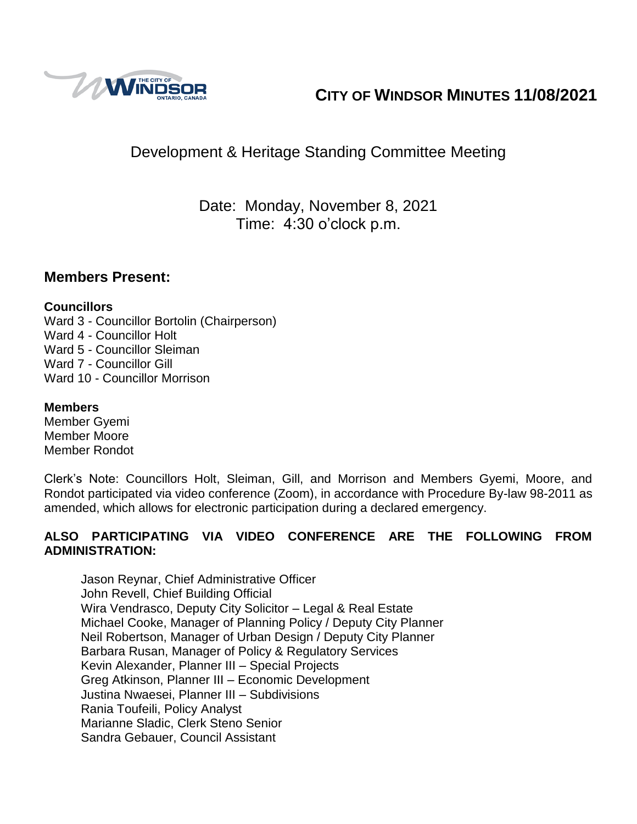

# **CITY OF WINDSOR MINUTES 11/08/2021**

# Development & Heritage Standing Committee Meeting

Date: Monday, November 8, 2021 Time: 4:30 o'clock p.m.

### **Members Present:**

#### **Councillors**

Ward 3 - Councillor Bortolin (Chairperson) Ward 4 - Councillor Holt Ward 5 - Councillor Sleiman Ward 7 - Councillor Gill Ward 10 - Councillor Morrison

#### **Members**

Member Gyemi Member Moore Member Rondot

Clerk's Note: Councillors Holt, Sleiman, Gill, and Morrison and Members Gyemi, Moore, and Rondot participated via video conference (Zoom), in accordance with Procedure By-law 98-2011 as amended, which allows for electronic participation during a declared emergency.

#### **ALSO PARTICIPATING VIA VIDEO CONFERENCE ARE THE FOLLOWING FROM ADMINISTRATION:**

Jason Reynar, Chief Administrative Officer John Revell, Chief Building Official Wira Vendrasco, Deputy City Solicitor – Legal & Real Estate Michael Cooke, Manager of Planning Policy / Deputy City Planner Neil Robertson, Manager of Urban Design / Deputy City Planner Barbara Rusan, Manager of Policy & Regulatory Services Kevin Alexander, Planner III – Special Projects Greg Atkinson, Planner III – Economic Development Justina Nwaesei, Planner III – Subdivisions Rania Toufeili, Policy Analyst Marianne Sladic, Clerk Steno Senior Sandra Gebauer, Council Assistant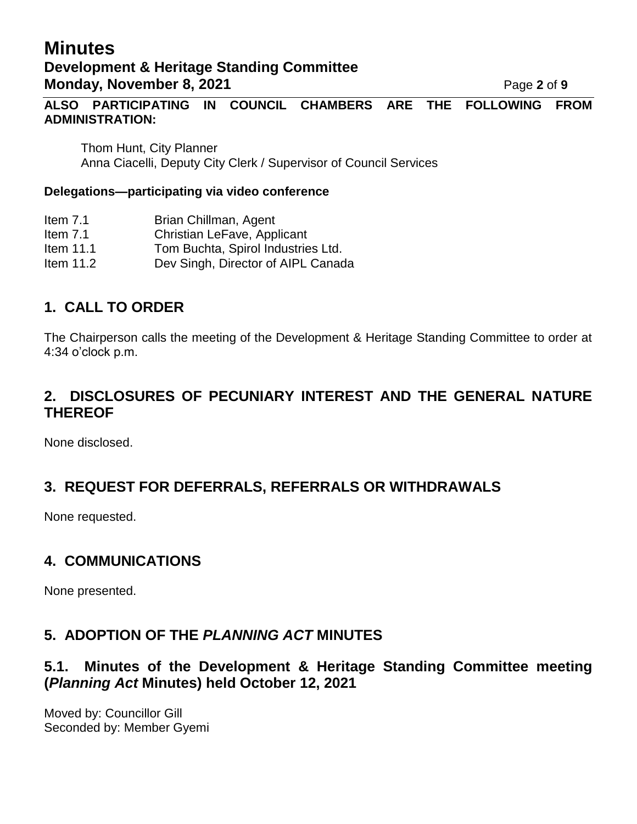# **Minutes Development & Heritage Standing Committee Monday, November 8, 2021 Page 2** of 9

**ALSO PARTICIPATING IN COUNCIL CHAMBERS ARE THE FOLLOWING FROM ADMINISTRATION:** 

Thom Hunt, City Planner Anna Ciacelli, Deputy City Clerk / Supervisor of Council Services

#### **Delegations—participating via video conference**

- Item 7.1 Brian Chillman, Agent
- Item 7.1 Christian LeFave, Applicant
- Item 11.1 Tom Buchta, Spirol Industries Ltd.
- Item 11.2 Dev Singh, Director of AIPL Canada

# **1. CALL TO ORDER**

The Chairperson calls the meeting of the Development & Heritage Standing Committee to order at 4:34 o'clock p.m.

### **2. DISCLOSURES OF PECUNIARY INTEREST AND THE GENERAL NATURE THEREOF**

None disclosed.

# **3. REQUEST FOR DEFERRALS, REFERRALS OR WITHDRAWALS**

None requested.

### **4. COMMUNICATIONS**

None presented.

### **5. ADOPTION OF THE** *PLANNING ACT* **MINUTES**

### **5.1. Minutes of the Development & Heritage Standing Committee meeting (***Planning Act* **Minutes) held October 12, 2021**

Moved by: Councillor Gill Seconded by: Member Gyemi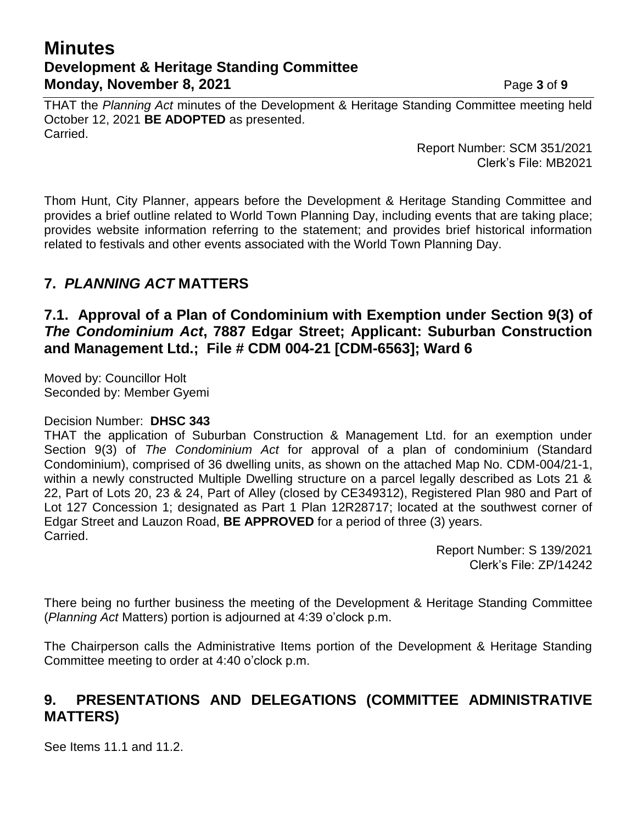## **Minutes Development & Heritage Standing Committee Monday, November 8, 2021 Page 3** of 9

THAT the *Planning Act* minutes of the Development & Heritage Standing Committee meeting held October 12, 2021 **BE ADOPTED** as presented. Carried.

> Report Number: SCM 351/2021 Clerk's File: MB2021

Thom Hunt, City Planner, appears before the Development & Heritage Standing Committee and provides a brief outline related to World Town Planning Day, including events that are taking place; provides website information referring to the statement; and provides brief historical information related to festivals and other events associated with the World Town Planning Day.

# **7.** *PLANNING ACT* **MATTERS**

### **7.1. Approval of a Plan of Condominium with Exemption under Section 9(3) of**  *The Condominium Act***, 7887 Edgar Street; Applicant: Suburban Construction and Management Ltd.; File # CDM 004-21 [CDM-6563]; Ward 6**

Moved by: Councillor Holt Seconded by: Member Gyemi

#### Decision Number: **DHSC 343**

THAT the application of Suburban Construction & Management Ltd. for an exemption under Section 9(3) of *The Condominium Act* for approval of a plan of condominium (Standard Condominium), comprised of 36 dwelling units, as shown on the attached Map No. CDM-004/21-1, within a newly constructed Multiple Dwelling structure on a parcel legally described as Lots 21 & 22, Part of Lots 20, 23 & 24, Part of Alley (closed by CE349312), Registered Plan 980 and Part of Lot 127 Concession 1; designated as Part 1 Plan 12R28717; located at the southwest corner of Edgar Street and Lauzon Road, **BE APPROVED** for a period of three (3) years. Carried.

> Report Number: S 139/2021 Clerk's File: ZP/14242

There being no further business the meeting of the Development & Heritage Standing Committee (*Planning Act* Matters) portion is adjourned at 4:39 o'clock p.m.

The Chairperson calls the Administrative Items portion of the Development & Heritage Standing Committee meeting to order at 4:40 o'clock p.m.

# **9. PRESENTATIONS AND DELEGATIONS (COMMITTEE ADMINISTRATIVE MATTERS)**

See Items 11.1 and 11.2.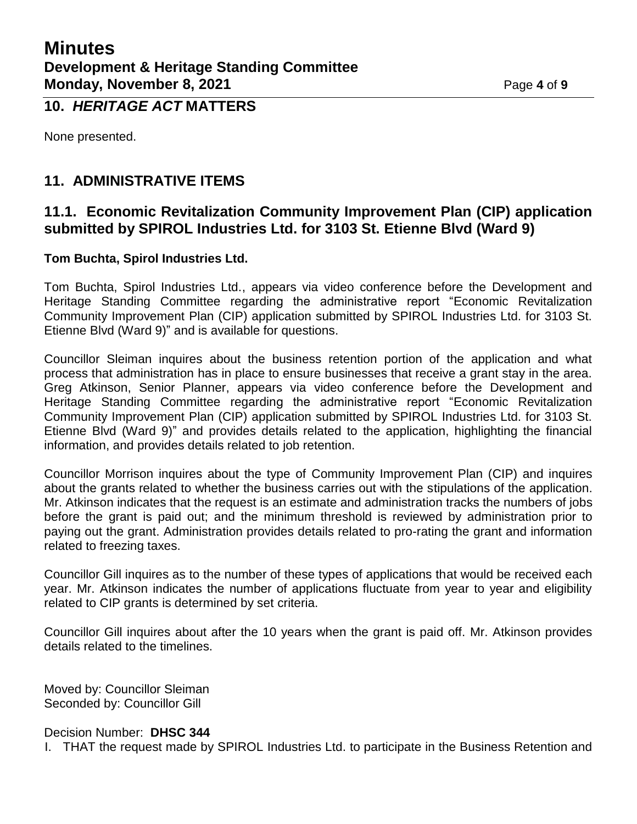### **10.** *HERITAGE ACT* **MATTERS**

None presented.

# **11. ADMINISTRATIVE ITEMS**

### **11.1. Economic Revitalization Community Improvement Plan (CIP) application submitted by SPIROL Industries Ltd. for 3103 St. Etienne Blvd (Ward 9)**

#### **Tom Buchta, Spirol Industries Ltd.**

Tom Buchta, Spirol Industries Ltd., appears via video conference before the Development and Heritage Standing Committee regarding the administrative report "Economic Revitalization Community Improvement Plan (CIP) application submitted by SPIROL Industries Ltd. for 3103 St. Etienne Blvd (Ward 9)" and is available for questions.

Councillor Sleiman inquires about the business retention portion of the application and what process that administration has in place to ensure businesses that receive a grant stay in the area. Greg Atkinson, Senior Planner, appears via video conference before the Development and Heritage Standing Committee regarding the administrative report "Economic Revitalization Community Improvement Plan (CIP) application submitted by SPIROL Industries Ltd. for 3103 St. Etienne Blvd (Ward 9)" and provides details related to the application, highlighting the financial information, and provides details related to job retention.

Councillor Morrison inquires about the type of Community Improvement Plan (CIP) and inquires about the grants related to whether the business carries out with the stipulations of the application. Mr. Atkinson indicates that the request is an estimate and administration tracks the numbers of jobs before the grant is paid out; and the minimum threshold is reviewed by administration prior to paying out the grant. Administration provides details related to pro-rating the grant and information related to freezing taxes.

Councillor Gill inquires as to the number of these types of applications that would be received each year. Mr. Atkinson indicates the number of applications fluctuate from year to year and eligibility related to CIP grants is determined by set criteria.

Councillor Gill inquires about after the 10 years when the grant is paid off. Mr. Atkinson provides details related to the timelines.

Moved by: Councillor Sleiman Seconded by: Councillor Gill

Decision Number: **DHSC 344**

I. THAT the request made by SPIROL Industries Ltd. to participate in the Business Retention and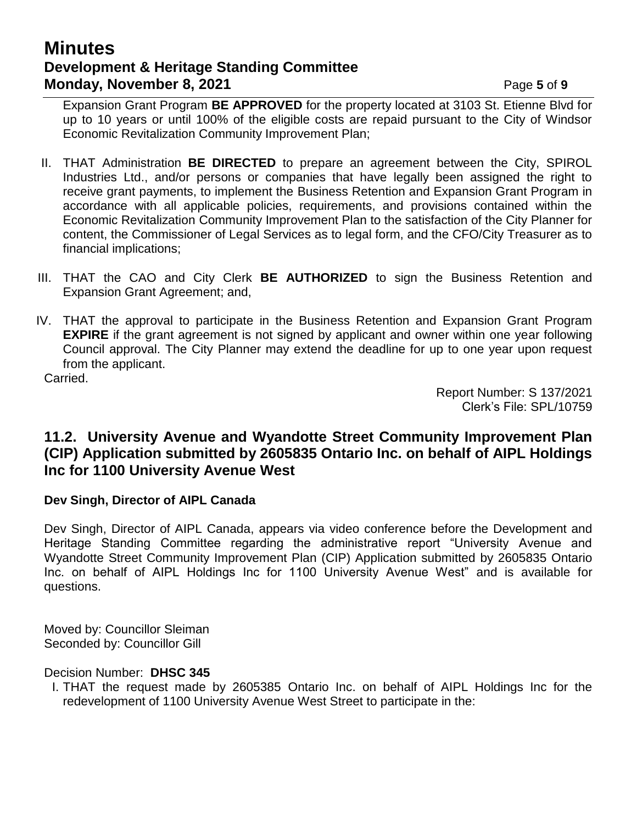# **Minutes Development & Heritage Standing Committee Monday, November 8, 2021 Page 5** of 9

Expansion Grant Program **BE APPROVED** for the property located at 3103 St. Etienne Blvd for up to 10 years or until 100% of the eligible costs are repaid pursuant to the City of Windsor Economic Revitalization Community Improvement Plan;

- II. THAT Administration **BE DIRECTED** to prepare an agreement between the City, SPIROL Industries Ltd., and/or persons or companies that have legally been assigned the right to receive grant payments, to implement the Business Retention and Expansion Grant Program in accordance with all applicable policies, requirements, and provisions contained within the Economic Revitalization Community Improvement Plan to the satisfaction of the City Planner for content, the Commissioner of Legal Services as to legal form, and the CFO/City Treasurer as to financial implications;
- III. THAT the CAO and City Clerk **BE AUTHORIZED** to sign the Business Retention and Expansion Grant Agreement; and,
- IV. THAT the approval to participate in the Business Retention and Expansion Grant Program **EXPIRE** if the grant agreement is not signed by applicant and owner within one year following Council approval. The City Planner may extend the deadline for up to one year upon request from the applicant.

Carried.

Report Number: S 137/2021 Clerk's File: SPL/10759

### **11.2. University Avenue and Wyandotte Street Community Improvement Plan (CIP) Application submitted by 2605835 Ontario Inc. on behalf of AIPL Holdings Inc for 1100 University Avenue West**

#### **Dev Singh, Director of AIPL Canada**

Dev Singh, Director of AIPL Canada, appears via video conference before the Development and Heritage Standing Committee regarding the administrative report "University Avenue and Wyandotte Street Community Improvement Plan (CIP) Application submitted by 2605835 Ontario Inc. on behalf of AIPL Holdings Inc for 1100 University Avenue West" and is available for questions.

Moved by: Councillor Sleiman Seconded by: Councillor Gill

Decision Number: **DHSC 345**

I. THAT the request made by 2605385 Ontario Inc. on behalf of AIPL Holdings Inc for the redevelopment of 1100 University Avenue West Street to participate in the: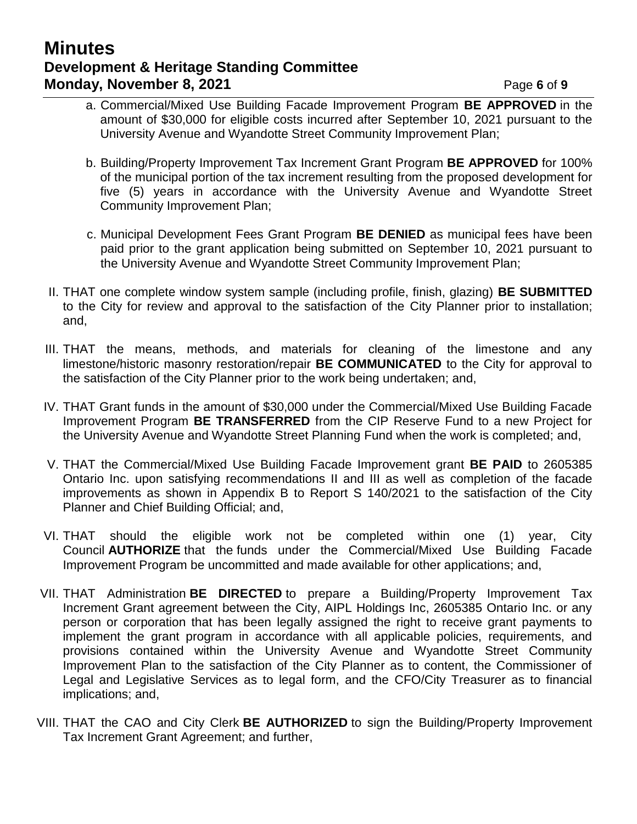# **Minutes Development & Heritage Standing Committee Monday, November 8, 2021 Page 6** of 9

- a. Commercial/Mixed Use Building Facade Improvement Program **BE APPROVED** in the amount of \$30,000 for eligible costs incurred after September 10, 2021 pursuant to the University Avenue and Wyandotte Street Community Improvement Plan;
- b. Building/Property Improvement Tax Increment Grant Program **BE APPROVED** for 100% of the municipal portion of the tax increment resulting from the proposed development for five (5) years in accordance with the University Avenue and Wyandotte Street Community Improvement Plan;
- c. Municipal Development Fees Grant Program **BE DENIED** as municipal fees have been paid prior to the grant application being submitted on September 10, 2021 pursuant to the University Avenue and Wyandotte Street Community Improvement Plan;
- II. THAT one complete window system sample (including profile, finish, glazing) **BE SUBMITTED** to the City for review and approval to the satisfaction of the City Planner prior to installation; and,
- III. THAT the means, methods, and materials for cleaning of the limestone and any limestone/historic masonry restoration/repair **BE COMMUNICATED** to the City for approval to the satisfaction of the City Planner prior to the work being undertaken; and,
- IV. THAT Grant funds in the amount of \$30,000 under the Commercial/Mixed Use Building Facade Improvement Program **BE TRANSFERRED** from the CIP Reserve Fund to a new Project for the University Avenue and Wyandotte Street Planning Fund when the work is completed; and,
- V. THAT the Commercial/Mixed Use Building Facade Improvement grant **BE PAID** to 2605385 Ontario Inc. upon satisfying recommendations II and III as well as completion of the facade improvements as shown in Appendix B to Report S 140/2021 to the satisfaction of the City Planner and Chief Building Official; and,
- VI. THAT should the eligible work not be completed within one (1) year, City Council **AUTHORIZE** that the funds under the Commercial/Mixed Use Building Facade Improvement Program be uncommitted and made available for other applications; and,
- VII. THAT Administration **BE DIRECTED** to prepare a Building/Property Improvement Tax Increment Grant agreement between the City, AIPL Holdings Inc, 2605385 Ontario Inc. or any person or corporation that has been legally assigned the right to receive grant payments to implement the grant program in accordance with all applicable policies, requirements, and provisions contained within the University Avenue and Wyandotte Street Community Improvement Plan to the satisfaction of the City Planner as to content, the Commissioner of Legal and Legislative Services as to legal form, and the CFO/City Treasurer as to financial implications; and,
- VIII. THAT the CAO and City Clerk **BE AUTHORIZED** to sign the Building/Property Improvement Tax Increment Grant Agreement; and further,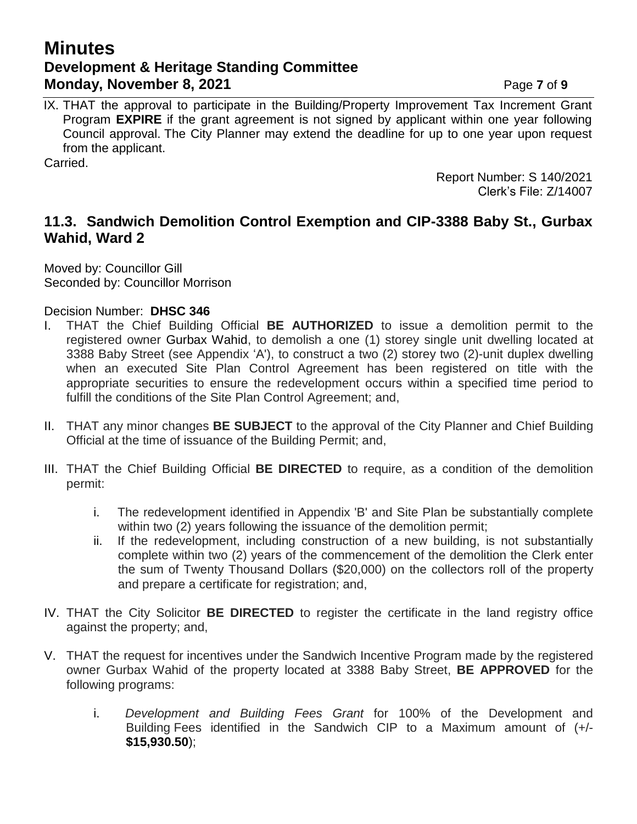# **Minutes Development & Heritage Standing Committee Monday, November 8, 2021 Page 7** of 9

IX. THAT the approval to participate in the Building/Property Improvement Tax Increment Grant Program **EXPIRE** if the grant agreement is not signed by applicant within one year following Council approval. The City Planner may extend the deadline for up to one year upon request from the applicant.

Carried.

Report Number: S 140/2021 Clerk's File: Z/14007

### **11.3. Sandwich Demolition Control Exemption and CIP-3388 Baby St., Gurbax Wahid, Ward 2**

Moved by: Councillor Gill Seconded by: Councillor Morrison

Decision Number: **DHSC 346**

- I. THAT the Chief Building Official **BE AUTHORIZED** to issue a demolition permit to the registered owner Gurbax Wahid, to demolish a one (1) storey single unit dwelling located at 3388 Baby Street (see Appendix 'A'), to construct a two (2) storey two (2)-unit duplex dwelling when an executed Site Plan Control Agreement has been registered on title with the appropriate securities to ensure the redevelopment occurs within a specified time period to fulfill the conditions of the Site Plan Control Agreement; and,
- II. THAT any minor changes **BE SUBJECT** to the approval of the City Planner and Chief Building Official at the time of issuance of the Building Permit; and,
- III. THAT the Chief Building Official **BE DIRECTED** to require, as a condition of the demolition permit:
	- i. The redevelopment identified in Appendix 'B' and Site Plan be substantially complete within two (2) years following the issuance of the demolition permit;
	- ii. If the redevelopment, including construction of a new building, is not substantially complete within two (2) years of the commencement of the demolition the Clerk enter the sum of Twenty Thousand Dollars (\$20,000) on the collectors roll of the property and prepare a certificate for registration; and,
- IV. THAT the City Solicitor **BE DIRECTED** to register the certificate in the land registry office against the property; and,
- V. THAT the request for incentives under the Sandwich Incentive Program made by the registered owner Gurbax Wahid of the property located at 3388 Baby Street, **BE APPROVED** for the following programs:
	- i. *Development and Building Fees Grant* for 100% of the Development and Building Fees identified in the Sandwich CIP to a Maximum amount of (+/- **\$15,930.50**);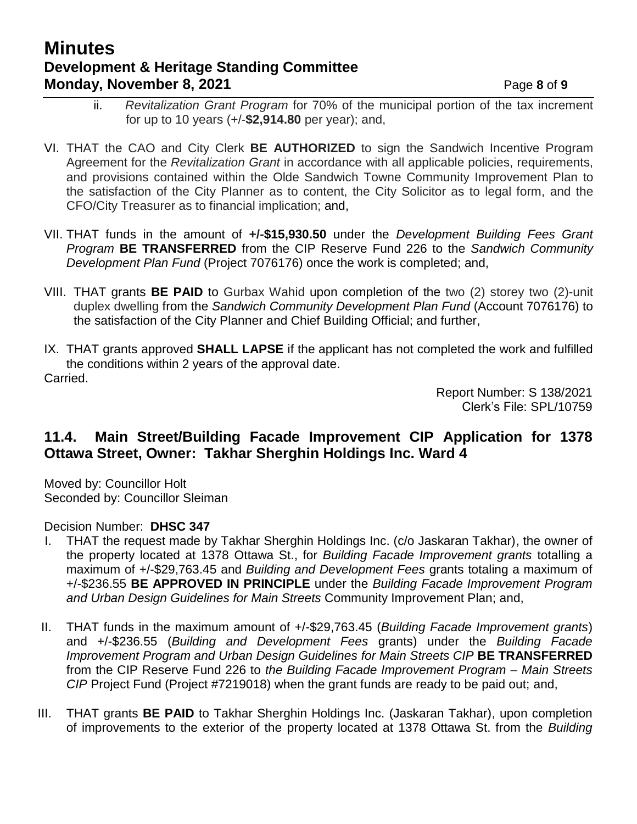# **Minutes Development & Heritage Standing Committee Monday, November 8, 2021 Page 8** of 9

- ii. *Revitalization Grant Program* for 70% of the municipal portion of the tax increment for up to 10 years (+/-**\$2,914.80** per year); and,
- VI. THAT the CAO and City Clerk **BE AUTHORIZED** to sign the Sandwich Incentive Program Agreement for the *Revitalization Grant* in accordance with all applicable policies, requirements, and provisions contained within the Olde Sandwich Towne Community Improvement Plan to the satisfaction of the City Planner as to content, the City Solicitor as to legal form, and the CFO/City Treasurer as to financial implication; and,
- VII. THAT funds in the amount of **+/-\$15,930.50** under the *Development Building Fees Grant Program* **BE TRANSFERRED** from the CIP Reserve Fund 226 to the *Sandwich Community Development Plan Fund* (Project 7076176) once the work is completed; and,
- VIII. THAT grants **BE PAID** to Gurbax Wahid upon completion of the two (2) storey two (2)-unit duplex dwelling from the *Sandwich Community Development Plan Fund* (Account 7076176) to the satisfaction of the City Planner and Chief Building Official; and further,
- IX. THAT grants approved **SHALL LAPSE** if the applicant has not completed the work and fulfilled the conditions within 2 years of the approval date. Carried.

Report Number: S 138/2021 Clerk's File: SPL/10759

### **11.4. Main Street/Building Facade Improvement CIP Application for 1378 Ottawa Street, Owner: Takhar Sherghin Holdings Inc. Ward 4**

Moved by: Councillor Holt Seconded by: Councillor Sleiman

#### Decision Number: **DHSC 347**

- I. THAT the request made by Takhar Sherghin Holdings Inc. (c/o Jaskaran Takhar), the owner of the property located at 1378 Ottawa St., for *Building Facade Improvement grants* totalling a maximum of +/-\$29,763.45 and *Building and Development Fees* grants totaling a maximum of +/-\$236.55 **BE APPROVED IN PRINCIPLE** under the *Building Facade Improvement Program and Urban Design Guidelines for Main Streets* Community Improvement Plan; and,
- II. THAT funds in the maximum amount of +/-\$29,763.45 (*Building Facade Improvement grants*) and +/-\$236.55 (*Building and Development Fees* grants) under the *Building Facade Improvement Program and Urban Design Guidelines for Main Streets CIP* **BE TRANSFERRED** from the CIP Reserve Fund 226 to *the Building Facade Improvement Program – Main Streets CIP* Project Fund (Project #7219018) when the grant funds are ready to be paid out; and,
- III. THAT grants **BE PAID** to Takhar Sherghin Holdings Inc. (Jaskaran Takhar), upon completion of improvements to the exterior of the property located at 1378 Ottawa St. from the *Building*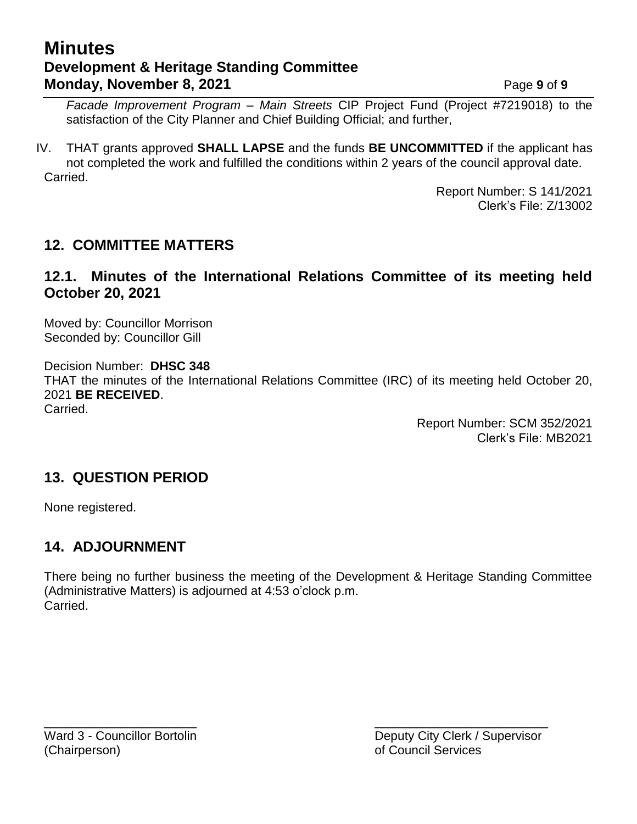# **Minutes Development & Heritage Standing Committee Monday, November 8, 2021 Page 9** of 9

*Facade Improvement Program – Main Streets* CIP Project Fund (Project #7219018) to the satisfaction of the City Planner and Chief Building Official; and further,

IV. THAT grants approved **SHALL LAPSE** and the funds **BE UNCOMMITTED** if the applicant has not completed the work and fulfilled the conditions within 2 years of the council approval date. Carried.

> Report Number: S 141/2021 Clerk's File: Z/13002

### **12. COMMITTEE MATTERS**

### **12.1. Minutes of the International Relations Committee of its meeting held October 20, 2021**

Moved by: Councillor Morrison Seconded by: Councillor Gill

Decision Number: **DHSC 348** THAT the minutes of the International Relations Committee (IRC) of its meeting held October 20, 2021 **BE RECEIVED**. Carried.

> Report Number: SCM 352/2021 Clerk's File: MB2021

### **13. QUESTION PERIOD**

None registered.

### **14. ADJOURNMENT**

There being no further business the meeting of the Development & Heritage Standing Committee (Administrative Matters) is adjourned at 4:53 o'clock p.m. Carried.

 $\overline{\phantom{a}}$  , and the contract of the contract of the contract of the contract of the contract of the contract of the contract of the contract of the contract of the contract of the contract of the contract of the contrac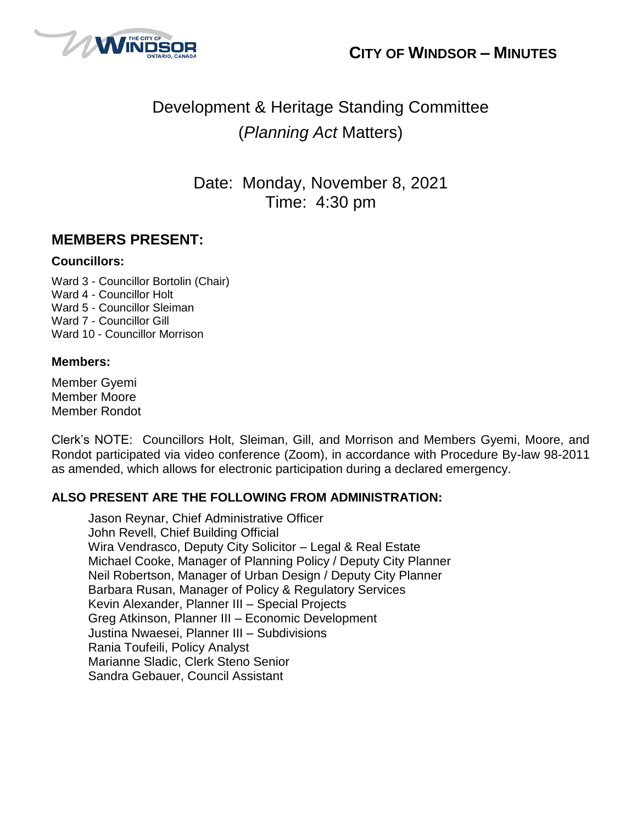



# Development & Heritage Standing Committee (*Planning Act* Matters)

Date: Monday, November 8, 2021 Time: 4:30 pm

### **MEMBERS PRESENT:**

#### **Councillors:**

Ward 3 - Councillor Bortolin (Chair) Ward 4 - Councillor Holt Ward 5 - Councillor Sleiman Ward 7 - Councillor Gill Ward 10 - Councillor Morrison

#### **Members:**

Member Gyemi Member Moore Member Rondot

Clerk's NOTE: Councillors Holt, Sleiman, Gill, and Morrison and Members Gyemi, Moore, and Rondot participated via video conference (Zoom), in accordance with Procedure By-law 98-2011 as amended, which allows for electronic participation during a declared emergency.

#### **ALSO PRESENT ARE THE FOLLOWING FROM ADMINISTRATION:**

Jason Reynar, Chief Administrative Officer John Revell, Chief Building Official Wira Vendrasco, Deputy City Solicitor – Legal & Real Estate Michael Cooke, Manager of Planning Policy / Deputy City Planner Neil Robertson, Manager of Urban Design / Deputy City Planner Barbara Rusan, Manager of Policy & Regulatory Services Kevin Alexander, Planner III – Special Projects Greg Atkinson, Planner III – Economic Development Justina Nwaesei, Planner III – Subdivisions Rania Toufeili, Policy Analyst Marianne Sladic, Clerk Steno Senior Sandra Gebauer, Council Assistant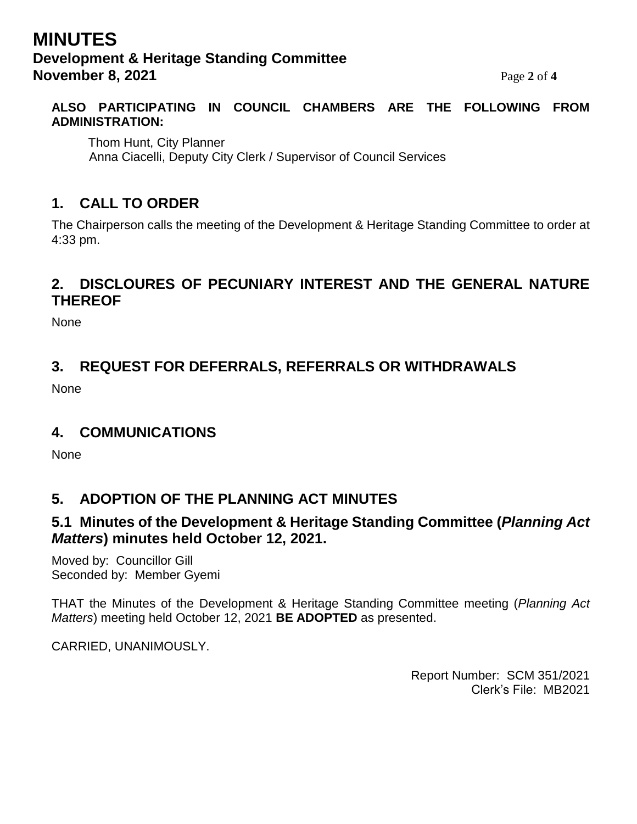# **MINUTES Development & Heritage Standing Committee November 8, 2021** Page 2 of 4

#### **ALSO PARTICIPATING IN COUNCIL CHAMBERS ARE THE FOLLOWING FROM ADMINISTRATION:**

Thom Hunt, City Planner Anna Ciacelli, Deputy City Clerk / Supervisor of Council Services

# **1. CALL TO ORDER**

The Chairperson calls the meeting of the Development & Heritage Standing Committee to order at 4:33 pm.

### **2. DISCLOURES OF PECUNIARY INTEREST AND THE GENERAL NATURE THEREOF**

None

# **3. REQUEST FOR DEFERRALS, REFERRALS OR WITHDRAWALS**

None

### **4. COMMUNICATIONS**

None

# **5. ADOPTION OF THE PLANNING ACT MINUTES**

### **5.1 Minutes of the Development & Heritage Standing Committee (***Planning Act Matters***) minutes held October 12, 2021.**

Moved by: Councillor Gill Seconded by: Member Gyemi

THAT the Minutes of the Development & Heritage Standing Committee meeting (*Planning Act Matters*) meeting held October 12, 2021 **BE ADOPTED** as presented.

CARRIED, UNANIMOUSLY.

Report Number: SCM 351/2021 Clerk's File: MB2021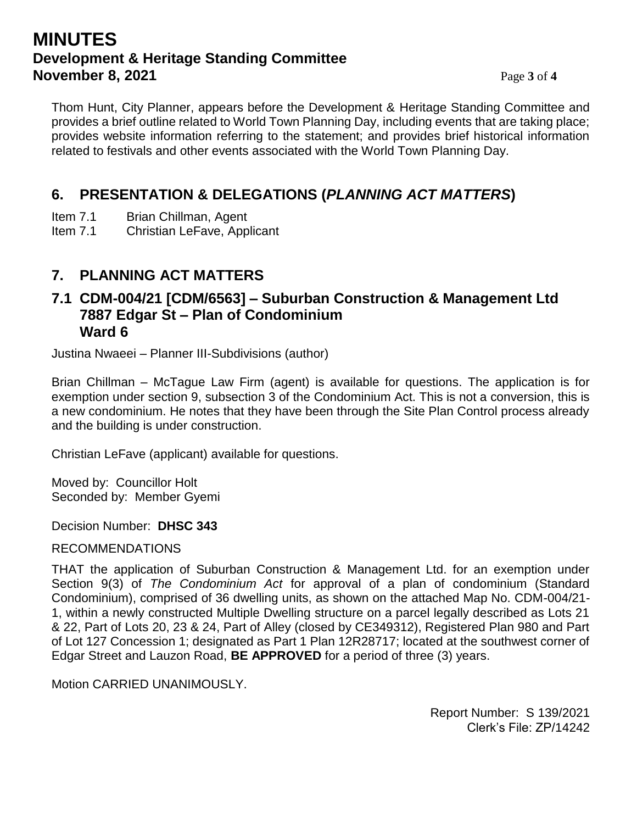# **MINUTES Development & Heritage Standing Committee November 8, 2021** Page 3 of 4

Thom Hunt, City Planner, appears before the Development & Heritage Standing Committee and provides a brief outline related to World Town Planning Day, including events that are taking place; provides website information referring to the statement; and provides brief historical information related to festivals and other events associated with the World Town Planning Day.

# **6. PRESENTATION & DELEGATIONS (***PLANNING ACT MATTERS***)**

- Item 7.1 Brian Chillman, Agent
- Item 7.1 Christian LeFave, Applicant

### **7. PLANNING ACT MATTERS**

### **7.1 CDM-004/21 [CDM/6563] – Suburban Construction & Management Ltd 7887 Edgar St – Plan of Condominium Ward 6**

Justina Nwaeei – Planner III-Subdivisions (author)

Brian Chillman – McTague Law Firm (agent) is available for questions. The application is for exemption under section 9, subsection 3 of the Condominium Act. This is not a conversion, this is a new condominium. He notes that they have been through the Site Plan Control process already and the building is under construction.

Christian LeFave (applicant) available for questions.

Moved by: Councillor Holt Seconded by: Member Gyemi

Decision Number: **DHSC 343**

#### **I** RECOMMENDATIONS

THAT the application of Suburban Construction & Management Ltd. for an exemption under Section 9(3) of *The Condominium Act* for approval of a plan of condominium (Standard Condominium), comprised of 36 dwelling units, as shown on the attached Map No. CDM-004/21- 1, within a newly constructed Multiple Dwelling structure on a parcel legally described as Lots 21 & 22, Part of Lots 20, 23 & 24, Part of Alley (closed by CE349312), Registered Plan 980 and Part of Lot 127 Concession 1; designated as Part 1 Plan 12R28717; located at the southwest corner of Edgar Street and Lauzon Road, **BE APPROVED** for a period of three (3) years.

Motion CARRIED UNANIMOUSLY.

Report Number: S 139/2021 Clerk's File: ZP/14242